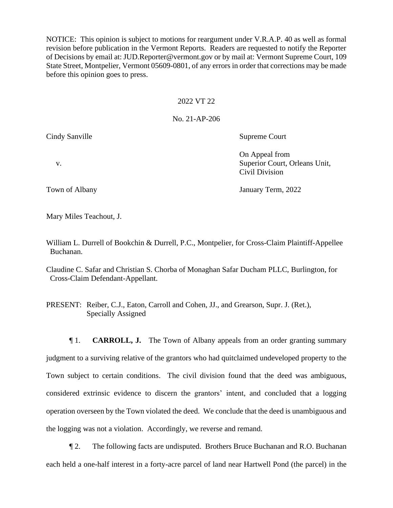NOTICE: This opinion is subject to motions for reargument under V.R.A.P. 40 as well as formal revision before publication in the Vermont Reports. Readers are requested to notify the Reporter of Decisions by email at: JUD.Reporter@vermont.gov or by mail at: Vermont Supreme Court, 109 State Street, Montpelier, Vermont 05609-0801, of any errors in order that corrections may be made before this opinion goes to press.

## 2022 VT 22

## No. 21-AP-206

Cindy Sanville Supreme Court

On Appeal from v. Superior Court, Orleans Unit, Civil Division

Town of Albany Term, 2022

Mary Miles Teachout, J.

William L. Durrell of Bookchin & Durrell, P.C., Montpelier, for Cross-Claim Plaintiff-Appellee Buchanan.

Claudine C. Safar and Christian S. Chorba of Monaghan Safar Ducham PLLC, Burlington, for Cross-Claim Defendant-Appellant.

PRESENT: Reiber, C.J., Eaton, Carroll and Cohen, JJ., and Grearson, Supr. J. (Ret.), Specially Assigned

¶ 1. **CARROLL, J.** The Town of Albany appeals from an order granting summary judgment to a surviving relative of the grantors who had quitclaimed undeveloped property to the Town subject to certain conditions. The civil division found that the deed was ambiguous, considered extrinsic evidence to discern the grantors' intent, and concluded that a logging operation overseen by the Town violated the deed. We conclude that the deed is unambiguous and the logging was not a violation. Accordingly, we reverse and remand.

¶ 2. The following facts are undisputed. Brothers Bruce Buchanan and R.O. Buchanan each held a one-half interest in a forty-acre parcel of land near Hartwell Pond (the parcel) in the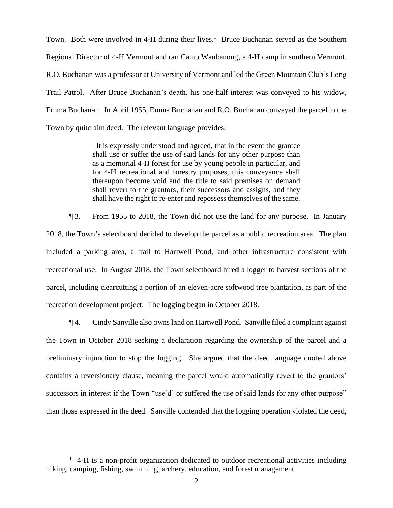Town. Both were involved in 4-H during their lives.<sup>1</sup> Bruce Buchanan served as the Southern Regional Director of 4-H Vermont and ran Camp Waubanong, a 4-H camp in southern Vermont. R.O. Buchanan was a professor at University of Vermont and led the Green Mountain Club's Long Trail Patrol. After Bruce Buchanan's death, his one-half interest was conveyed to his widow, Emma Buchanan. In April 1955, Emma Buchanan and R.O. Buchanan conveyed the parcel to the Town by quitclaim deed. The relevant language provides:

> It is expressly understood and agreed, that in the event the grantee shall use or suffer the use of said lands for any other purpose than as a memorial 4-H forest for use by young people in particular, and for 4-H recreational and forestry purposes, this conveyance shall thereupon become void and the title to said premises on demand shall revert to the grantors, their successors and assigns, and they shall have the right to re-enter and repossess themselves of the same.

¶ 3. From 1955 to 2018, the Town did not use the land for any purpose. In January 2018, the Town's selectboard decided to develop the parcel as a public recreation area. The plan included a parking area, a trail to Hartwell Pond, and other infrastructure consistent with recreational use. In August 2018, the Town selectboard hired a logger to harvest sections of the parcel, including clearcutting a portion of an eleven-acre softwood tree plantation, as part of the recreation development project. The logging began in October 2018.

¶ 4. Cindy Sanville also owns land on Hartwell Pond. Sanville filed a complaint against the Town in October 2018 seeking a declaration regarding the ownership of the parcel and a preliminary injunction to stop the logging. She argued that the deed language quoted above contains a reversionary clause, meaning the parcel would automatically revert to the grantors' successors in interest if the Town "use[d] or suffered the use of said lands for any other purpose" than those expressed in the deed. Sanville contended that the logging operation violated the deed,

<sup>&</sup>lt;sup>1</sup> 4-H is a non-profit organization dedicated to outdoor recreational activities including hiking, camping, fishing, swimming, archery, education, and forest management.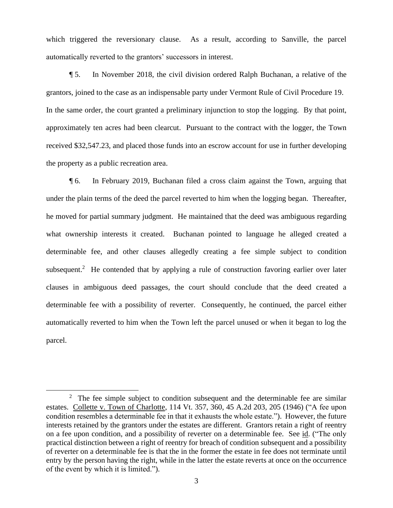which triggered the reversionary clause. As a result, according to Sanville, the parcel automatically reverted to the grantors' successors in interest.

¶ 5. In November 2018, the civil division ordered Ralph Buchanan, a relative of the grantors, joined to the case as an indispensable party under Vermont Rule of Civil Procedure 19. In the same order, the court granted a preliminary injunction to stop the logging. By that point, approximately ten acres had been clearcut. Pursuant to the contract with the logger, the Town received \$32,547.23, and placed those funds into an escrow account for use in further developing the property as a public recreation area.

¶ 6. In February 2019, Buchanan filed a cross claim against the Town, arguing that under the plain terms of the deed the parcel reverted to him when the logging began. Thereafter, he moved for partial summary judgment. He maintained that the deed was ambiguous regarding what ownership interests it created. Buchanan pointed to language he alleged created a determinable fee, and other clauses allegedly creating a fee simple subject to condition subsequent.<sup>2</sup> He contended that by applying a rule of construction favoring earlier over later clauses in ambiguous deed passages, the court should conclude that the deed created a determinable fee with a possibility of reverter. Consequently, he continued, the parcel either automatically reverted to him when the Town left the parcel unused or when it began to log the parcel.

 $2$  The fee simple subject to condition subsequent and the determinable fee are similar estates. Collette v. Town of Charlotte, 114 Vt. 357, 360, 45 A.2d 203, 205 (1946) ("A fee upon condition resembles a determinable fee in that it exhausts the whole estate."). However, the future interests retained by the grantors under the estates are different. Grantors retain a right of reentry on a fee upon condition, and a possibility of reverter on a determinable fee. See id. ("The only practical distinction between a right of reentry for breach of condition subsequent and a possibility of reverter on a determinable fee is that the in the former the estate in fee does not terminate until entry by the person having the right, while in the latter the estate reverts at once on the occurrence of the event by which it is limited.").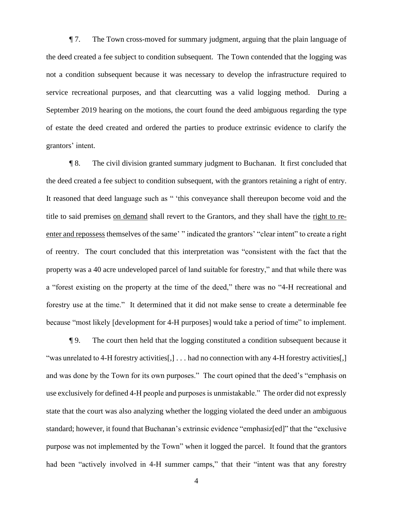¶ 7. The Town cross-moved for summary judgment, arguing that the plain language of the deed created a fee subject to condition subsequent. The Town contended that the logging was not a condition subsequent because it was necessary to develop the infrastructure required to service recreational purposes, and that clearcutting was a valid logging method. During a September 2019 hearing on the motions, the court found the deed ambiguous regarding the type of estate the deed created and ordered the parties to produce extrinsic evidence to clarify the grantors' intent.

¶ 8. The civil division granted summary judgment to Buchanan. It first concluded that the deed created a fee subject to condition subsequent, with the grantors retaining a right of entry. It reasoned that deed language such as " 'this conveyance shall thereupon become void and the title to said premises on demand shall revert to the Grantors, and they shall have the right to reenter and repossess themselves of the same' " indicated the grantors' "clear intent" to create a right of reentry. The court concluded that this interpretation was "consistent with the fact that the property was a 40 acre undeveloped parcel of land suitable for forestry," and that while there was a "forest existing on the property at the time of the deed," there was no "4-H recreational and forestry use at the time." It determined that it did not make sense to create a determinable fee because "most likely [development for 4-H purposes] would take a period of time" to implement.

¶ 9. The court then held that the logging constituted a condition subsequent because it "was unrelated to 4-H forestry activities[,] . . . had no connection with any 4-H forestry activities[,] and was done by the Town for its own purposes." The court opined that the deed's "emphasis on use exclusively for defined 4-H people and purposes is unmistakable." The order did not expressly state that the court was also analyzing whether the logging violated the deed under an ambiguous standard; however, it found that Buchanan's extrinsic evidence "emphasiz[ed]" that the "exclusive purpose was not implemented by the Town" when it logged the parcel. It found that the grantors had been "actively involved in 4-H summer camps," that their "intent was that any forestry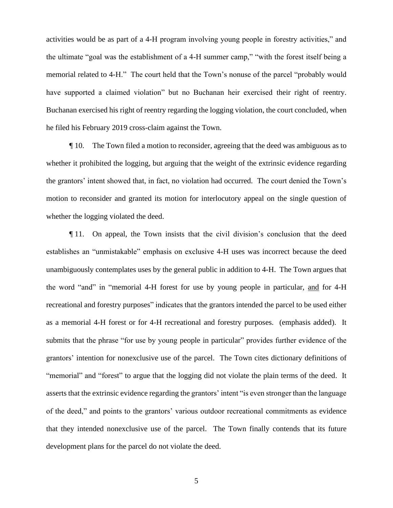activities would be as part of a 4-H program involving young people in forestry activities," and the ultimate "goal was the establishment of a 4-H summer camp," "with the forest itself being a memorial related to 4-H." The court held that the Town's nonuse of the parcel "probably would have supported a claimed violation" but no Buchanan heir exercised their right of reentry. Buchanan exercised his right of reentry regarding the logging violation, the court concluded, when he filed his February 2019 cross-claim against the Town.

¶ 10. The Town filed a motion to reconsider, agreeing that the deed was ambiguous as to whether it prohibited the logging, but arguing that the weight of the extrinsic evidence regarding the grantors' intent showed that, in fact, no violation had occurred. The court denied the Town's motion to reconsider and granted its motion for interlocutory appeal on the single question of whether the logging violated the deed.

¶ 11. On appeal, the Town insists that the civil division's conclusion that the deed establishes an "unmistakable" emphasis on exclusive 4-H uses was incorrect because the deed unambiguously contemplates uses by the general public in addition to 4-H. The Town argues that the word "and" in "memorial 4-H forest for use by young people in particular, and for 4-H recreational and forestry purposes" indicates that the grantors intended the parcel to be used either as a memorial 4-H forest or for 4-H recreational and forestry purposes. (emphasis added). It submits that the phrase "for use by young people in particular" provides further evidence of the grantors' intention for nonexclusive use of the parcel. The Town cites dictionary definitions of "memorial" and "forest" to argue that the logging did not violate the plain terms of the deed. It asserts that the extrinsic evidence regarding the grantors' intent "is even stronger than the language of the deed," and points to the grantors' various outdoor recreational commitments as evidence that they intended nonexclusive use of the parcel. The Town finally contends that its future development plans for the parcel do not violate the deed.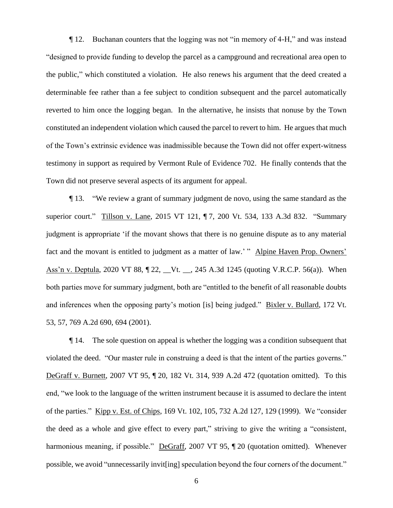¶ 12. Buchanan counters that the logging was not "in memory of 4-H," and was instead "designed to provide funding to develop the parcel as a campground and recreational area open to the public," which constituted a violation. He also renews his argument that the deed created a determinable fee rather than a fee subject to condition subsequent and the parcel automatically reverted to him once the logging began. In the alternative, he insists that nonuse by the Town constituted an independent violation which caused the parcel to revert to him. He argues that much of the Town's extrinsic evidence was inadmissible because the Town did not offer expert-witness testimony in support as required by Vermont Rule of Evidence 702. He finally contends that the Town did not preserve several aspects of its argument for appeal.

¶ 13. "We review a grant of summary judgment de novo, using the same standard as the superior court." Tillson v. Lane, 2015 VT 121, ¶ 7, 200 Vt. 534, 133 A.3d 832. "Summary judgment is appropriate 'if the movant shows that there is no genuine dispute as to any material fact and the movant is entitled to judgment as a matter of law.' " Alpine Haven Prop. Owners' Ass'n v. Deptula, 2020 VT 88, ¶ 22, \_\_Vt. \_\_, 245 A.3d 1245 (quoting V.R.C.P. 56(a)). When both parties move for summary judgment, both are "entitled to the benefit of all reasonable doubts and inferences when the opposing party's motion [is] being judged." Bixler v. Bullard, 172 Vt. 53, 57, 769 A.2d 690, 694 (2001).

¶ 14. The sole question on appeal is whether the logging was a condition subsequent that violated the deed. "Our master rule in construing a deed is that the intent of the parties governs." DeGraff v. Burnett, 2007 VT 95, ¶ 20, 182 Vt. 314, 939 A.2d 472 (quotation omitted). To this end, "we look to the language of the written instrument because it is assumed to declare the intent of the parties." Kipp v. Est. of Chips, 169 Vt. 102, 105, 732 A.2d 127, 129 (1999). We "consider the deed as a whole and give effect to every part," striving to give the writing a "consistent, harmonious meaning, if possible." DeGraff, 2007 VT 95, ¶ 20 (quotation omitted). Whenever possible, we avoid "unnecessarily invit[ing] speculation beyond the four corners of the document."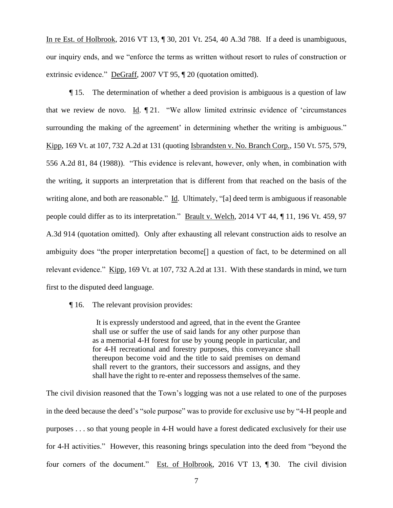In re Est. of Holbrook, 2016 VT 13, ¶ 30, 201 Vt. 254, 40 A.3d 788. If a deed is unambiguous, our inquiry ends, and we "enforce the terms as written without resort to rules of construction or extrinsic evidence." DeGraff, 2007 VT 95, ¶ 20 (quotation omitted).

¶ 15. The determination of whether a deed provision is ambiguous is a question of law that we review de novo. Id. ¶ 21. "We allow limited extrinsic evidence of 'circumstances surrounding the making of the agreement' in determining whether the writing is ambiguous." Kipp, 169 Vt. at 107, 732 A.2d at 131 (quoting Isbrandsten v. No. Branch Corp., 150 Vt. 575, 579, 556 A.2d 81, 84 (1988)). "This evidence is relevant, however, only when, in combination with the writing, it supports an interpretation that is different from that reached on the basis of the writing alone, and both are reasonable." Id. Ultimately, "[a] deed term is ambiguous if reasonable people could differ as to its interpretation." Brault v. Welch, 2014 VT 44, ¶ 11, 196 Vt. 459, 97 A.3d 914 (quotation omitted). Only after exhausting all relevant construction aids to resolve an ambiguity does "the proper interpretation become[] a question of fact, to be determined on all relevant evidence." Kipp, 169 Vt. at 107, 732 A.2d at 131. With these standards in mind, we turn first to the disputed deed language.

¶ 16. The relevant provision provides:

 It is expressly understood and agreed, that in the event the Grantee shall use or suffer the use of said lands for any other purpose than as a memorial 4-H forest for use by young people in particular, and for 4-H recreational and forestry purposes, this conveyance shall thereupon become void and the title to said premises on demand shall revert to the grantors, their successors and assigns, and they shall have the right to re-enter and repossess themselves of the same.

The civil division reasoned that the Town's logging was not a use related to one of the purposes in the deed because the deed's "sole purpose" was to provide for exclusive use by "4-H people and purposes . . . so that young people in 4-H would have a forest dedicated exclusively for their use for 4-H activities." However, this reasoning brings speculation into the deed from "beyond the four corners of the document." Est. of Holbrook, 2016 VT 13, ¶ 30. The civil division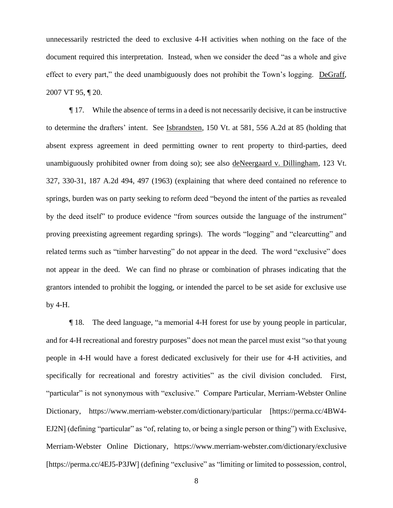unnecessarily restricted the deed to exclusive 4-H activities when nothing on the face of the document required this interpretation. Instead, when we consider the deed "as a whole and give effect to every part," the deed unambiguously does not prohibit the Town's logging. DeGraff, 2007 VT 95, ¶ 20.

¶ 17. While the absence of terms in a deed is not necessarily decisive, it can be instructive to determine the drafters' intent. See Isbrandsten, 150 Vt. at 581, 556 A.2d at 85 (holding that absent express agreement in deed permitting owner to rent property to third-parties, deed unambiguously prohibited owner from doing so); see also deNeergaard v. Dillingham, 123 Vt. 327, 330-31, 187 A.2d 494, 497 (1963) (explaining that where deed contained no reference to springs, burden was on party seeking to reform deed "beyond the intent of the parties as revealed by the deed itself" to produce evidence "from sources outside the language of the instrument" proving preexisting agreement regarding springs). The words "logging" and "clearcutting" and related terms such as "timber harvesting" do not appear in the deed. The word "exclusive" does not appear in the deed. We can find no phrase or combination of phrases indicating that the grantors intended to prohibit the logging, or intended the parcel to be set aside for exclusive use by 4-H.

¶ 18. The deed language, "a memorial 4-H forest for use by young people in particular, and for 4-H recreational and forestry purposes" does not mean the parcel must exist "so that young people in 4-H would have a forest dedicated exclusively for their use for 4-H activities, and specifically for recreational and forestry activities" as the civil division concluded. First, "particular" is not synonymous with "exclusive." Compare Particular, Merriam-Webster Online Dictionary, https://www.merriam-webster.com/dictionary/particular [https://perma.cc/4BW4- EJ2N] (defining "particular" as "of, relating to, or being a single person or thing") with Exclusive, Merriam-Webster Online Dictionary, https://www.merriam-webster.com/dictionary/exclusive [https://perma.cc/4EJ5-P3JW] (defining "exclusive" as "limiting or limited to possession, control,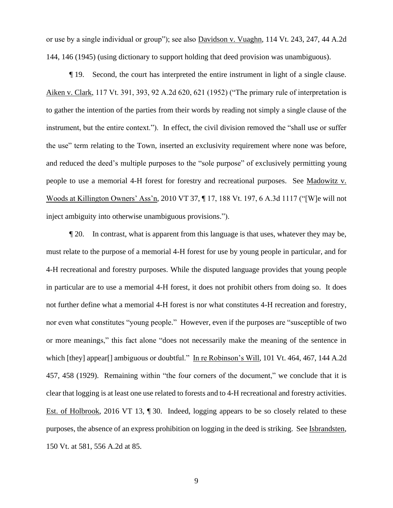or use by a single individual or group"); see also Davidson v. Vuaghn, 114 Vt. 243, 247, 44 A.2d 144, 146 (1945) (using dictionary to support holding that deed provision was unambiguous).

¶ 19. Second, the court has interpreted the entire instrument in light of a single clause. Aiken v. Clark, 117 Vt. 391, 393, 92 A.2d 620, 621 (1952) ("The primary rule of interpretation is to gather the intention of the parties from their words by reading not simply a single clause of the instrument, but the entire context."). In effect, the civil division removed the "shall use or suffer the use" term relating to the Town, inserted an exclusivity requirement where none was before, and reduced the deed's multiple purposes to the "sole purpose" of exclusively permitting young people to use a memorial 4-H forest for forestry and recreational purposes. See Madowitz v. Woods at Killington Owners' Ass'n, 2010 VT 37, ¶ 17, 188 Vt. 197, 6 A.3d 1117 ("[W]e will not inject ambiguity into otherwise unambiguous provisions.").

¶ 20. In contrast, what is apparent from this language is that uses, whatever they may be, must relate to the purpose of a memorial 4-H forest for use by young people in particular, and for 4-H recreational and forestry purposes. While the disputed language provides that young people in particular are to use a memorial 4-H forest, it does not prohibit others from doing so. It does not further define what a memorial 4-H forest is nor what constitutes 4-H recreation and forestry, nor even what constitutes "young people." However, even if the purposes are "susceptible of two or more meanings," this fact alone "does not necessarily make the meaning of the sentence in which [they] appear[] ambiguous or doubtful." In re Robinson's Will, 101 Vt. 464, 467, 144 A.2d 457, 458 (1929). Remaining within "the four corners of the document," we conclude that it is clear that logging is at least one use related to forests and to 4-H recreational and forestry activities. Est. of Holbrook, 2016 VT 13, ¶ 30. Indeed, logging appears to be so closely related to these purposes, the absence of an express prohibition on logging in the deed is striking. See Isbrandsten, 150 Vt. at 581, 556 A.2d at 85.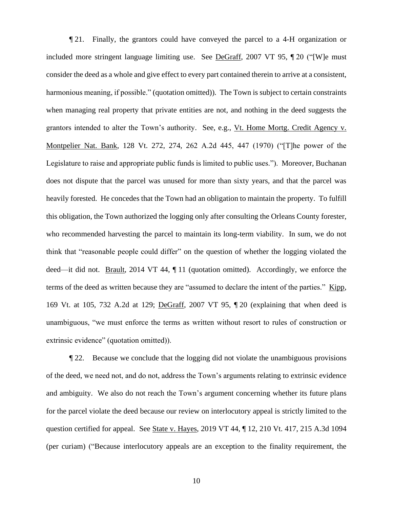¶ 21. Finally, the grantors could have conveyed the parcel to a 4-H organization or included more stringent language limiting use. See DeGraff, 2007 VT 95, ¶ 20 ("[W]e must consider the deed as a whole and give effect to every part contained therein to arrive at a consistent, harmonious meaning, if possible." (quotation omitted)). The Town is subject to certain constraints when managing real property that private entities are not, and nothing in the deed suggests the grantors intended to alter the Town's authority. See, e.g., Vt. Home Mortg. Credit Agency v. Montpelier Nat. Bank, 128 Vt. 272, 274, 262 A.2d 445, 447 (1970) ("[T]he power of the Legislature to raise and appropriate public funds is limited to public uses."). Moreover, Buchanan does not dispute that the parcel was unused for more than sixty years, and that the parcel was heavily forested. He concedes that the Town had an obligation to maintain the property. To fulfill this obligation, the Town authorized the logging only after consulting the Orleans County forester, who recommended harvesting the parcel to maintain its long-term viability. In sum, we do not think that "reasonable people could differ" on the question of whether the logging violated the deed—it did not. Brault, 2014 VT 44, ¶ 11 (quotation omitted). Accordingly, we enforce the terms of the deed as written because they are "assumed to declare the intent of the parties." Kipp, 169 Vt. at 105, 732 A.2d at 129; DeGraff, 2007 VT 95, ¶ 20 (explaining that when deed is unambiguous, "we must enforce the terms as written without resort to rules of construction or extrinsic evidence" (quotation omitted)).

¶ 22. Because we conclude that the logging did not violate the unambiguous provisions of the deed, we need not, and do not, address the Town's arguments relating to extrinsic evidence and ambiguity. We also do not reach the Town's argument concerning whether its future plans for the parcel violate the deed because our review on interlocutory appeal is strictly limited to the question certified for appeal. See State v. Hayes, 2019 VT 44, ¶ 12, 210 Vt. 417, 215 A.3d 1094 (per curiam) ("Because interlocutory appeals are an exception to the finality requirement, the